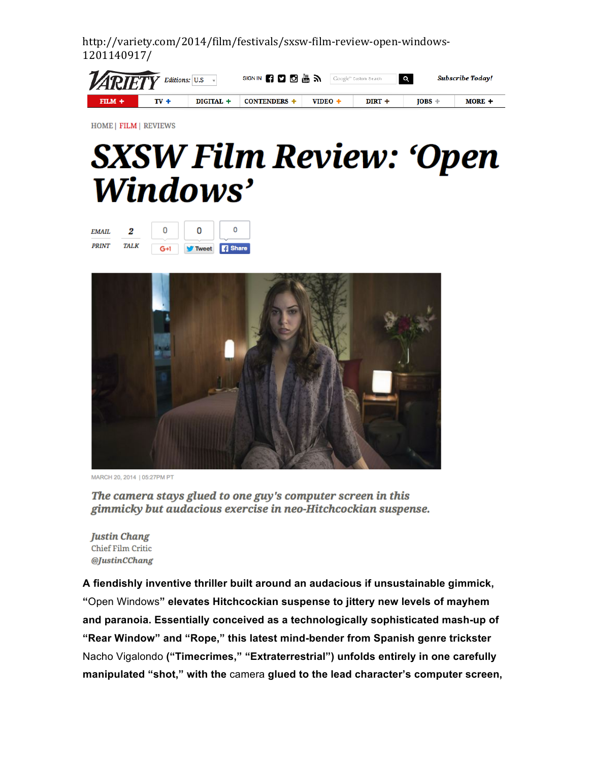| <b>VARIETY</b> Editions: U.S. |                |           | SIGN IN <b>61 0 6 2 6 3 3 Google</b> " Custom Search |         |          | $\alpha$ | Subscribe Todav! |
|-------------------------------|----------------|-----------|------------------------------------------------------|---------|----------|----------|------------------|
| $FILM +$                      | $\mathbf{v}$ + | DIGITAL + | <b>CONTENDERS</b>                                    | VIDEO · | $DIRT +$ | $IOBS -$ | MORE +           |

HOME | FILM | REVIEWS

## **SXSW Film Review: 'Open** Windows'

| <b>EMAIL</b> |             |       |                 |  |
|--------------|-------------|-------|-----------------|--|
| <b>PRINT</b> | <b>TALK</b> | $G+1$ | V Tweet   Share |  |



MARCH 20, 2014 | 05:27PM PT

The camera stays glued to one guy's computer screen in this gimmicky but audacious exercise in neo-Hitchcockian suspense.

**Justin Chang Chief Film Critic** @JustinCChang

**A fiendishly inventive thriller built around an audacious if unsustainable gimmick, "**Open Windows**" elevates Hitchcockian suspense to jittery new levels of mayhem and paranoia. Essentially conceived as a technologically sophisticated mash-up of "Rear Window" and "Rope," this latest mind-bender from Spanish genre trickster**  Nacho Vigalondo **("Timecrimes," "Extraterrestrial") unfolds entirely in one carefully manipulated "shot," with the** camera **glued to the lead character's computer screen,**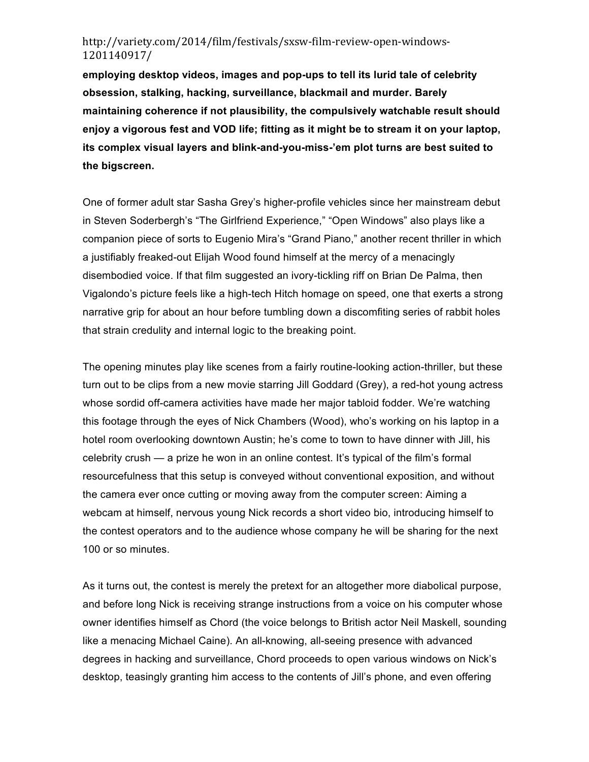**employing desktop videos, images and pop-ups to tell its lurid tale of celebrity obsession, stalking, hacking, surveillance, blackmail and murder. Barely maintaining coherence if not plausibility, the compulsively watchable result should enjoy a vigorous fest and VOD life; fitting as it might be to stream it on your laptop, its complex visual layers and blink-and-you-miss-'em plot turns are best suited to the bigscreen.**

One of former adult star Sasha Grey's higher-profile vehicles since her mainstream debut in Steven Soderbergh's "The Girlfriend Experience," "Open Windows" also plays like a companion piece of sorts to Eugenio Mira's "Grand Piano," another recent thriller in which a justifiably freaked-out Elijah Wood found himself at the mercy of a menacingly disembodied voice. If that film suggested an ivory-tickling riff on Brian De Palma, then Vigalondo's picture feels like a high-tech Hitch homage on speed, one that exerts a strong narrative grip for about an hour before tumbling down a discomfiting series of rabbit holes that strain credulity and internal logic to the breaking point.

The opening minutes play like scenes from a fairly routine-looking action-thriller, but these turn out to be clips from a new movie starring Jill Goddard (Grey), a red-hot young actress whose sordid off-camera activities have made her major tabloid fodder. We're watching this footage through the eyes of Nick Chambers (Wood), who's working on his laptop in a hotel room overlooking downtown Austin; he's come to town to have dinner with Jill, his celebrity crush — a prize he won in an online contest. It's typical of the film's formal resourcefulness that this setup is conveyed without conventional exposition, and without the camera ever once cutting or moving away from the computer screen: Aiming a webcam at himself, nervous young Nick records a short video bio, introducing himself to the contest operators and to the audience whose company he will be sharing for the next 100 or so minutes.

As it turns out, the contest is merely the pretext for an altogether more diabolical purpose, and before long Nick is receiving strange instructions from a voice on his computer whose owner identifies himself as Chord (the voice belongs to British actor Neil Maskell, sounding like a menacing Michael Caine). An all-knowing, all-seeing presence with advanced degrees in hacking and surveillance, Chord proceeds to open various windows on Nick's desktop, teasingly granting him access to the contents of Jill's phone, and even offering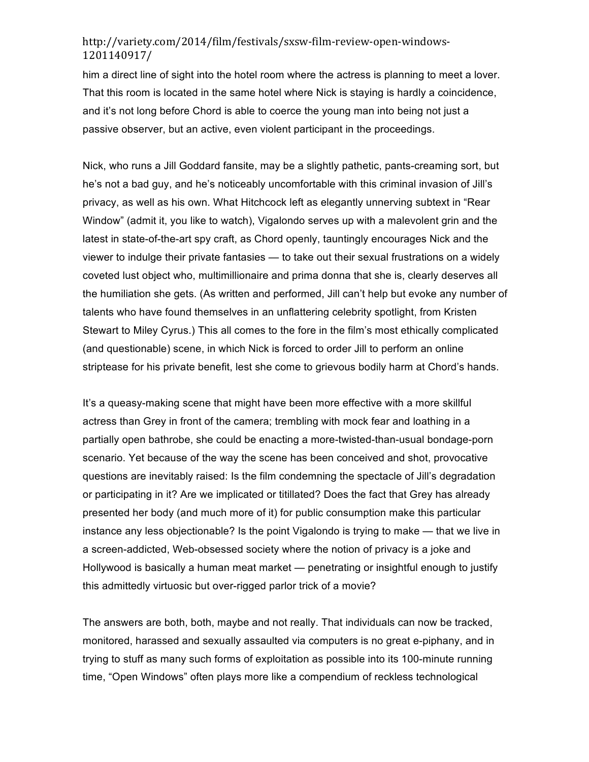him a direct line of sight into the hotel room where the actress is planning to meet a lover. That this room is located in the same hotel where Nick is staying is hardly a coincidence, and it's not long before Chord is able to coerce the young man into being not just a passive observer, but an active, even violent participant in the proceedings.

Nick, who runs a Jill Goddard fansite, may be a slightly pathetic, pants-creaming sort, but he's not a bad guy, and he's noticeably uncomfortable with this criminal invasion of Jill's privacy, as well as his own. What Hitchcock left as elegantly unnerving subtext in "Rear Window" (admit it, you like to watch), Vigalondo serves up with a malevolent grin and the latest in state-of-the-art spy craft, as Chord openly, tauntingly encourages Nick and the viewer to indulge their private fantasies — to take out their sexual frustrations on a widely coveted lust object who, multimillionaire and prima donna that she is, clearly deserves all the humiliation she gets. (As written and performed, Jill can't help but evoke any number of talents who have found themselves in an unflattering celebrity spotlight, from Kristen Stewart to Miley Cyrus.) This all comes to the fore in the film's most ethically complicated (and questionable) scene, in which Nick is forced to order Jill to perform an online striptease for his private benefit, lest she come to grievous bodily harm at Chord's hands.

It's a queasy-making scene that might have been more effective with a more skillful actress than Grey in front of the camera; trembling with mock fear and loathing in a partially open bathrobe, she could be enacting a more-twisted-than-usual bondage-porn scenario. Yet because of the way the scene has been conceived and shot, provocative questions are inevitably raised: Is the film condemning the spectacle of Jill's degradation or participating in it? Are we implicated or titillated? Does the fact that Grey has already presented her body (and much more of it) for public consumption make this particular instance any less objectionable? Is the point Vigalondo is trying to make — that we live in a screen-addicted, Web-obsessed society where the notion of privacy is a joke and Hollywood is basically a human meat market — penetrating or insightful enough to justify this admittedly virtuosic but over-rigged parlor trick of a movie?

The answers are both, both, maybe and not really. That individuals can now be tracked, monitored, harassed and sexually assaulted via computers is no great e-piphany, and in trying to stuff as many such forms of exploitation as possible into its 100-minute running time, "Open Windows" often plays more like a compendium of reckless technological